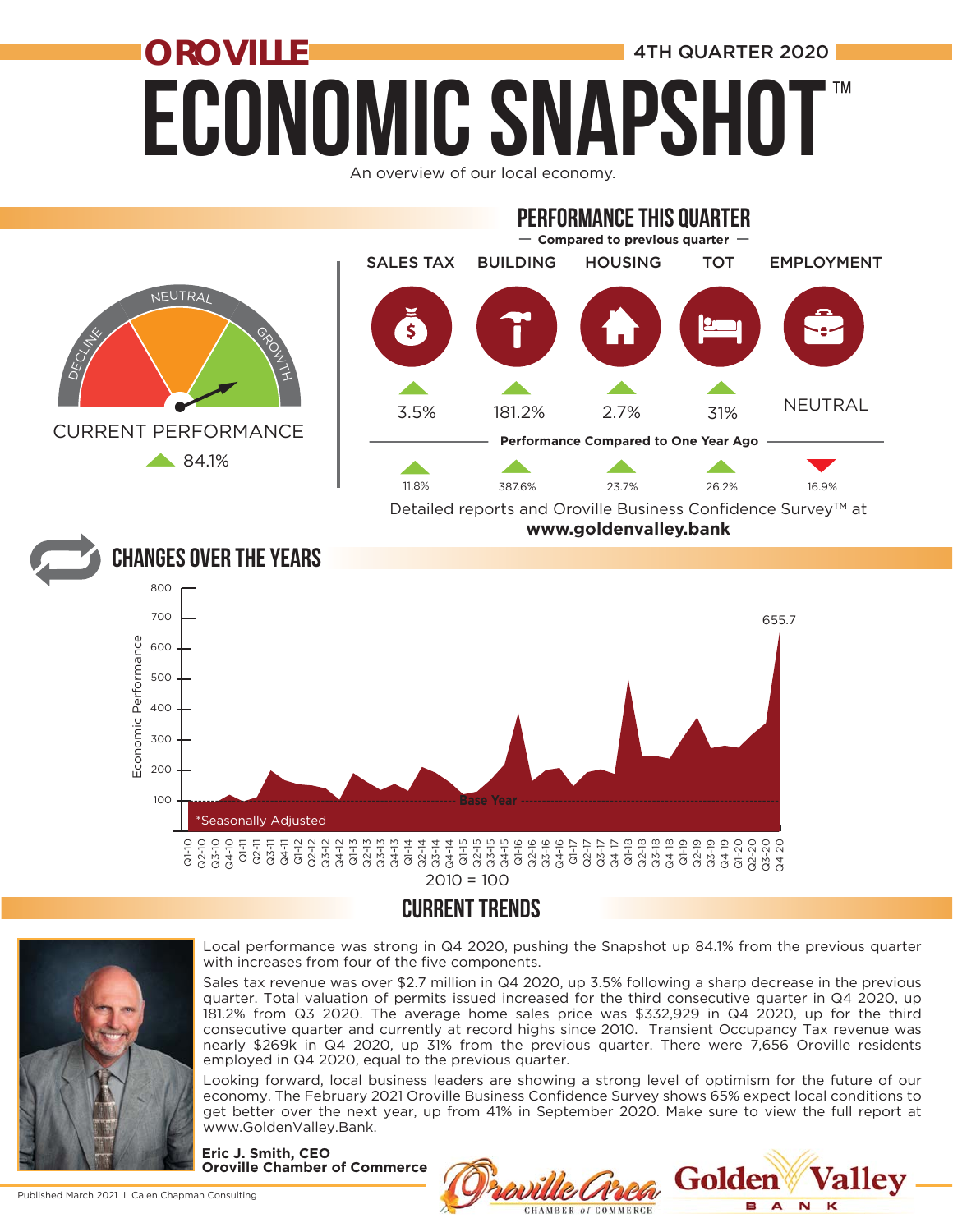# **ECONOMIC SNAPSH OROVILLE CONFIDENTIAL ALCOHOL** 4TH QUARTER 2020 ™

An overview of our local economy.



### CURRENT TRENDS



Local performance was strong in Q4 2020, pushing the Snapshot up 84.1% from the previous quarter with increases from four of the five components.

Sales tax revenue was over \$2.7 million in Q4 2020, up 3.5% following a sharp decrease in the previous quarter. Total valuation of permits issued increased for the third consecutive quarter in Q4 2020, up 181.2% from Q3 2020. The average home sales price was \$332,929 in Q4 2020, up for the third consecutive quarter and currently at record highs since 2010. Transient Occupancy Tax revenue was nearly \$269k in Q4 2020, up 31% from the previous quarter. There were 7,656 Oroville residents employed in Q4 2020, equal to the previous quarter.

Looking forward, local business leaders are showing a strong level of optimism for the future of our economy. The February 2021 Oroville Business Confidence Survey shows 65% expect local conditions to get better over the next year, up from 41% in September 2020. Make sure to view the full report at www.GoldenValley.Bank.

**CHAMBER of COMMERCE** 

Golde

E.  $\overline{A}$  $\overline{\mathbf{N}}$ 

**Eric J. Smith, CEO Oroville Chamber of Commerce**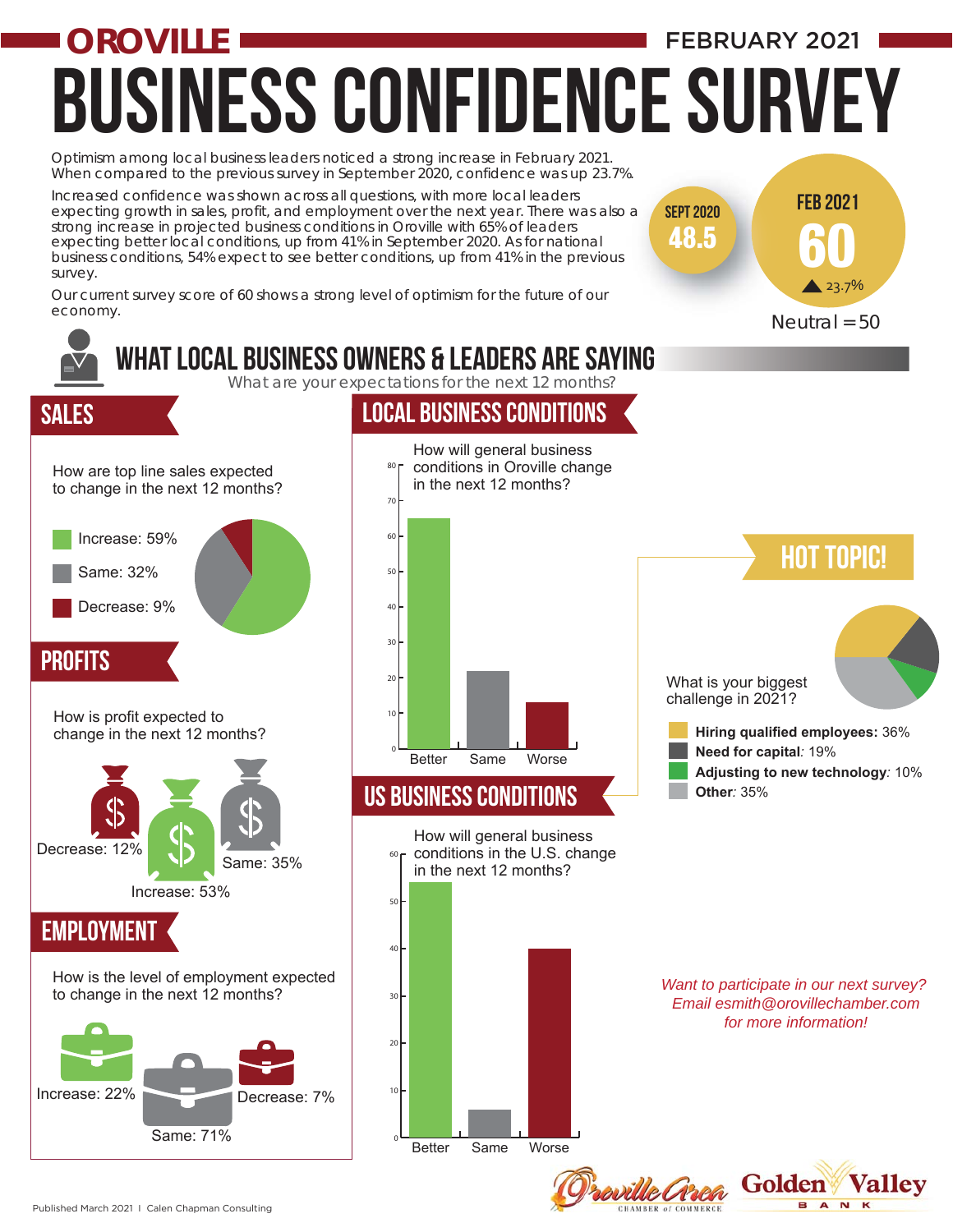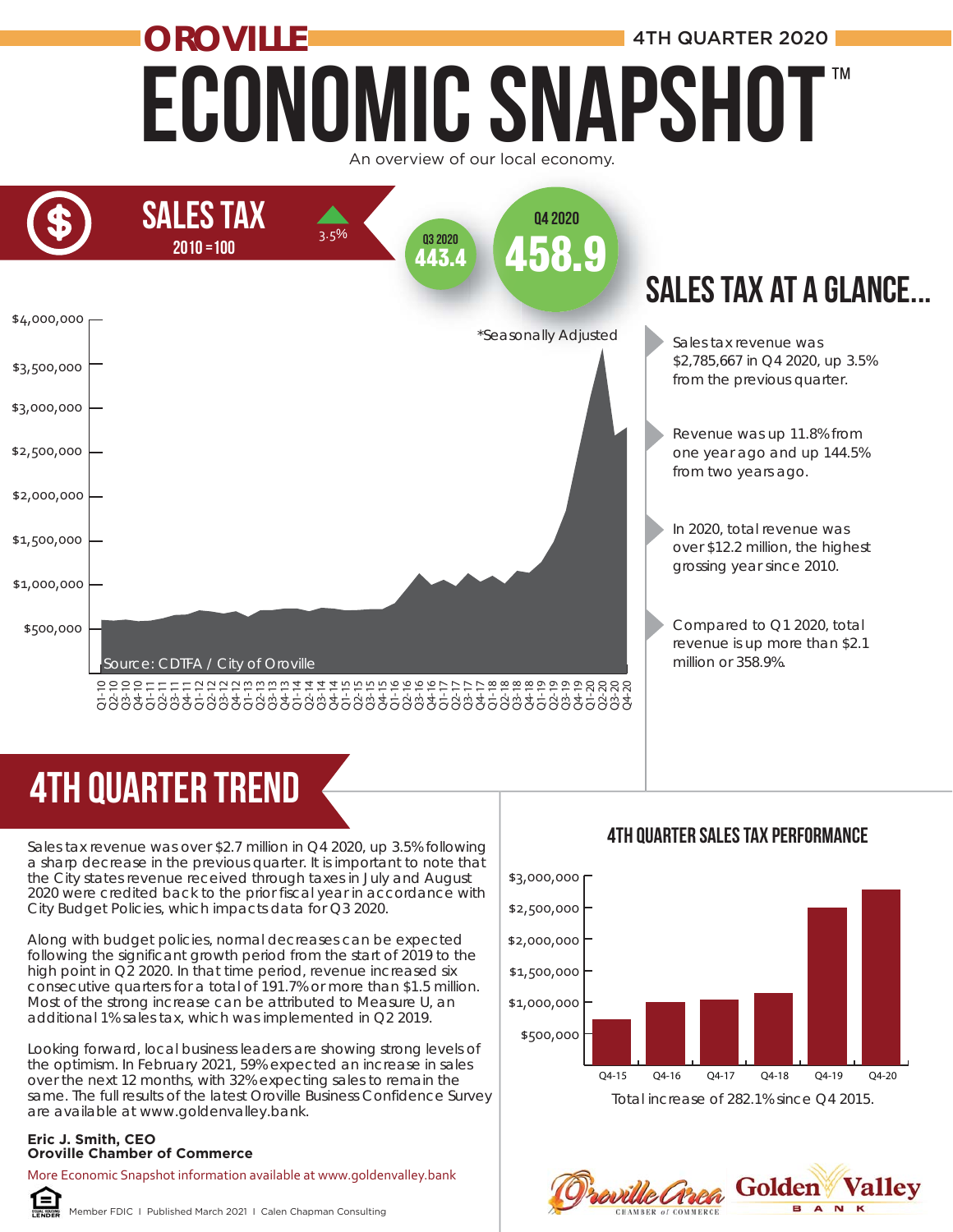# Economic Snapshot **OROVILLE ALL AND A 4TH QUARTER 2020** ™





# 4TH quarter trend

Sales tax revenue was over \$2.7 million in Q4 2020, up 3.5% following a sharp decrease in the previous quarter. It is important to note that the City states revenue received through taxes in July and August 2020 were credited back to the prior fiscal year in accordance with City Budget Policies, which impacts data for Q3 2020.

Along with budget policies, normal decreases can be expected following the significant growth period from the start of 2019 to the high point in Q2 2020. In that time period, revenue increased six consecutive quarters for a total of 191.7% or more than \$1.5 million. Most of the strong increase can be attributed to Measure U, an additional 1% sales tax, which was implemented in Q2 2019. **PRECEFT TERMINER**<br>
Sales tax revenue was over \$2.7 n<br>
a sharp decrease in the previous<br>
the City states revenue received<br>
2020 were credited back to the p<br>
City Budget Policies, which impace<br>
Along with budget policies, n

Looking forward, local business leaders are showing strong levels of the optimism. In February 2021, 59% expected an increase in sales over the next 12 months, with 32% expecting sales to remain the same. The full results of the latest Oroville Business Confidence Survey are available at www.goldenvalley.bank.

## **Eric J. Smith, CEO**

More Economic Snapshot information available at www.goldenvalley.bank



Member FDIC I Published March 2021 I Calen Chapman Consulting

## 4TH QUarter Sales Tax Performance



Total increase of 282.1% since Q4 2015.

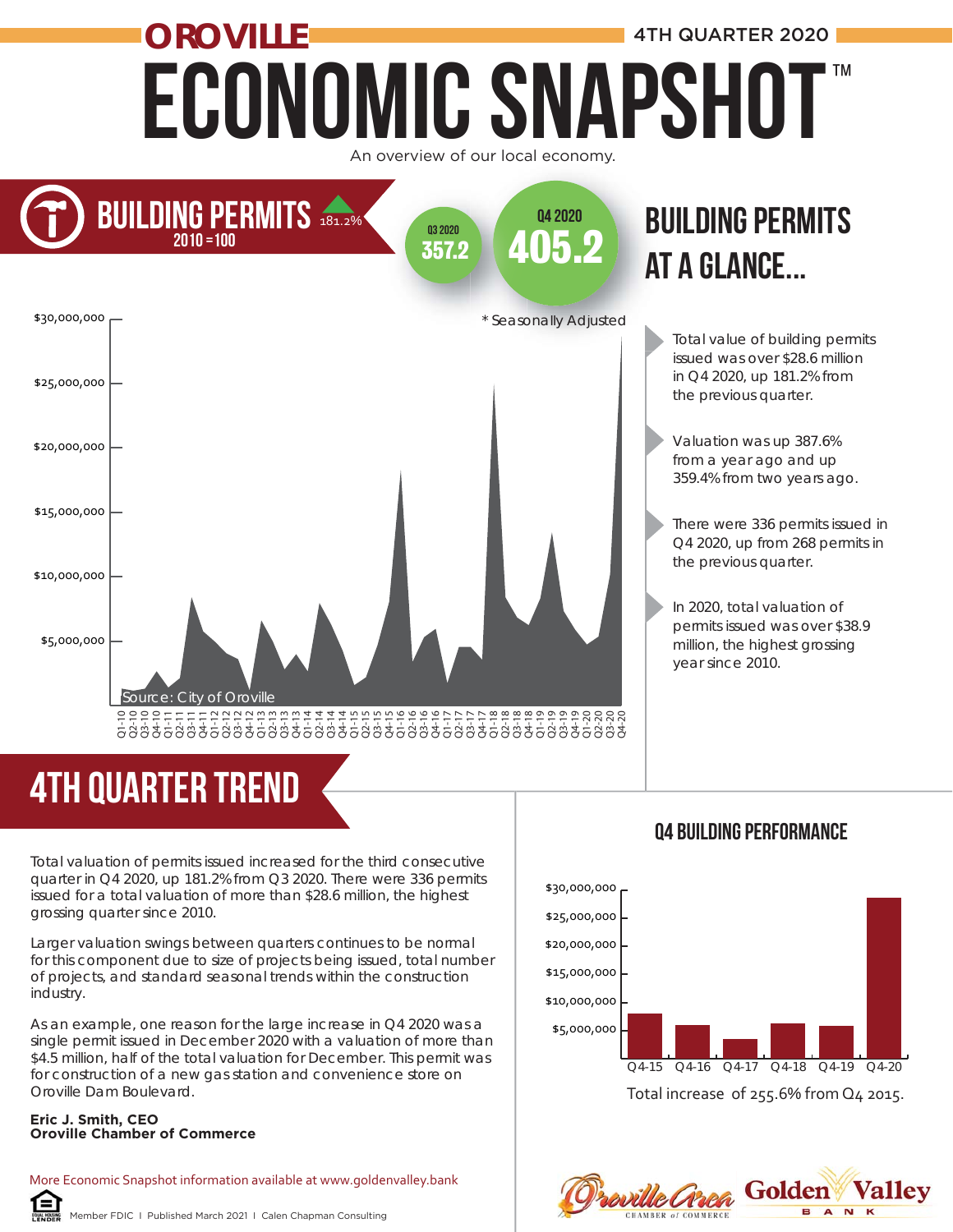## Economic Snapshot **OROVILLE And All Account 2020 4TH QUARTER 2020** An overview of our local economy. ™



# 4TH quarter trend

Total value of building permits issued was over \$28.6 million in Q4 2020, up 181.2% from the previous quarter.

Valuation was up 387.6% from a year ago and up 359.4% from two years ago.

There were 336 permits issued in Q4 2020, up from 268 permits in the previous quarter.

In 2020, total valuation of permits issued was over \$38.9 million, the highest grossing year since 2010.

Total valuation of permits issued increased for the third consecutive quarter in Q4 2020, up 181.2% from Q3 2020. There were 336 permits issued for a total valuation of more than \$28.6 million, the highest grossing quarter since 2010.

Larger valuation swings between quarters continues to be normal for this component due to size of projects being issued, total number of projects, and standard seasonal trends within the construction industry.

As an example, one reason for the large increase in Q4 2020 was a single permit issued in December 2020 with a valuation of more than \$4.5 million, half of the total valuation for December. This permit was for construction of a new gas station and convenience store on Oroville Dam Boulevard.

#### **Eric J. Smith, CEO Oroville Chamber of Commerce**

More Economic Snapshot information available at www.goldenvalley.bank ſ≡

#### Member FDIC I Published March 2021 I Calen Chapman Consulting

#### Q4 Building performance



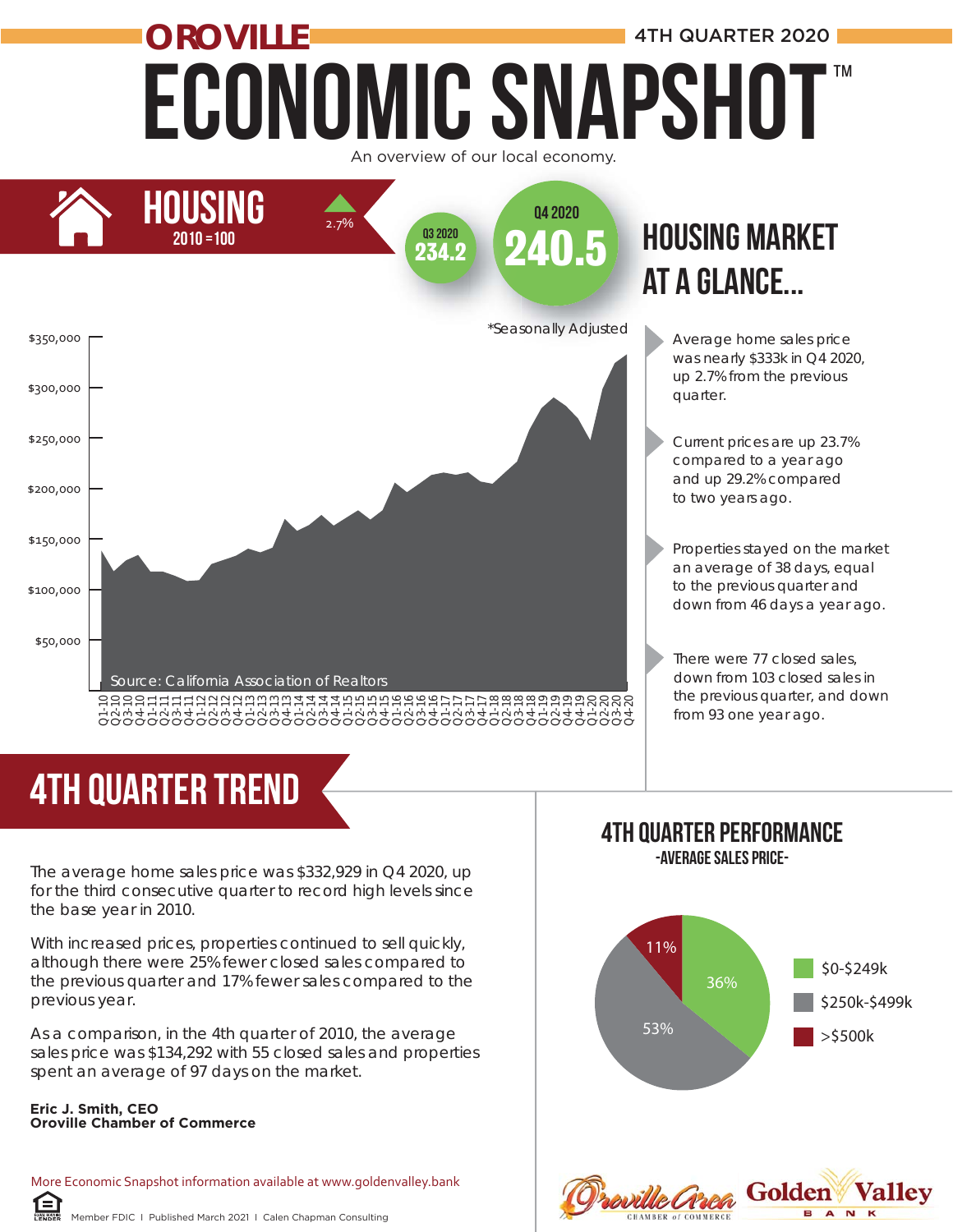## Economic Snapshot **OROVILLE ALL AREA AND A 4TH QUARTER 2020** An overview of our local economy. ™



# 4TH quarter trend

The average home sales price was \$332,929 in Q4 2020, up for the third consecutive quarter to record high levels since the base year in 2010.

With increased prices, properties continued to sell quickly, although there were 25% fewer closed sales compared to the previous quarter and 17% fewer sales compared to the previous year.

As a comparison, in the 4th quarter of 2010, the average sales price was \$134,292 with 55 closed sales and properties spent an average of 97 days on the market.

#### **Eric J. Smith, CEO Oroville Chamber of Commerce**

自

More Economic Snapshot information available at www.goldenvalley.bank

# at a glance...

- Average home sales price was nearly \$333k in Q4 2020, up 2.7% from the previous quarter.
- Current prices are up 23.7% compared to a year ago and up 29.2% compared to two years ago.

Properties stayed on the market an average of 38 days, equal to the previous quarter and down from 46 days a year ago.

There were 77 closed sales, down from 103 closed sales in the previous quarter, and down from 93 one year ago.

#### 4TH Quarter Performance -Average Sales Price-

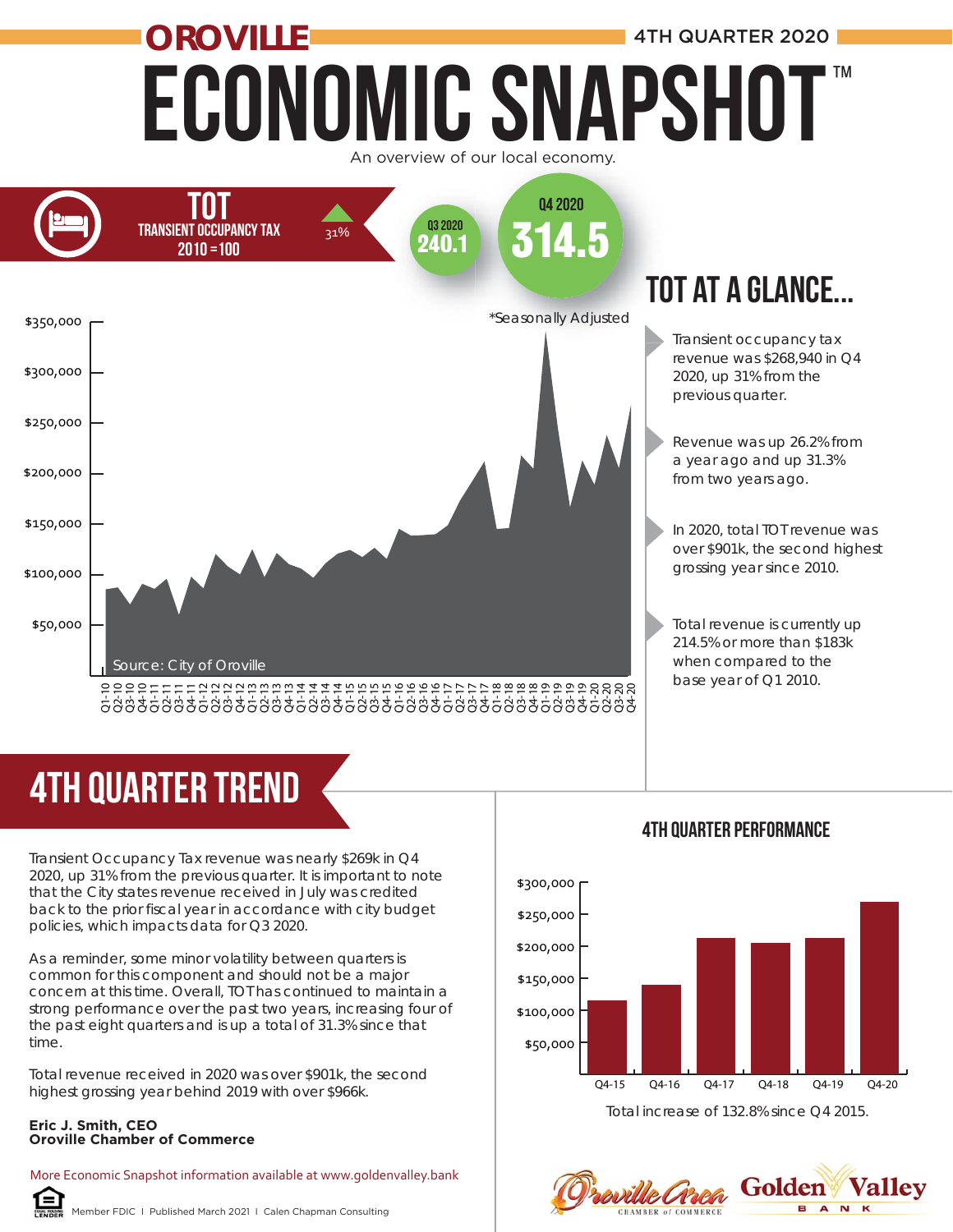# Economic Snapshot **OROVILLE AND RESERVE ALL AND A 4TH QUARTER 2020** ™

An overview of our local economy.



## TOT at a glance...

Transient occupancy tax revenue was \$268,940 in Q4 2020, up 31% from the previous quarter.

Revenue was up 26.2% from a year ago and up 31.3% from two years ago.

In 2020, total TOT revenue was over \$901k, the second highest grossing year since 2010.

Total revenue is currently up 214.5% or more than \$183k when compared to the base year of Q1 2010.

# 4TH quarter trend

Transient Occupancy Tax revenue was nearly \$269k in Q4 2020, up 31% from the previous quarter. It is important to note that the City states revenue received in July was credited back to the prior fiscal year in accordance with city budget policies, which impacts data for Q3 2020.

As a reminder, some minor volatility between quarters is common for this component and should not be a major concern at this time. Overall, TOT has continued to maintain a strong performance over the past two years, increasing four of the past eight quarters and is up a total of 31.3% since that time.

Total revenue received in 2020 was over \$901k, the second highest grossing year behind 2019 with over \$966k.

#### **Eric J. Smith, CEO Oroville Chamber of Commerce**

More Economic Snapshot information available at www.goldenvalley.bank



Member FDIC I Published March 2021 I Calen Chapman Consulting





#### 4TH Quarter Performance